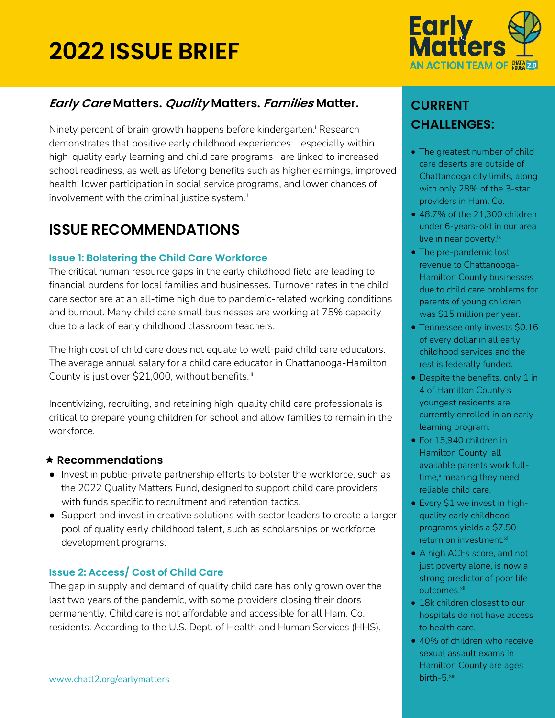## **2022 ISSUE BRIEF**



## **Early Care Matters. Quality Matters. Families Matter.**

Ninety percent of brain growth happens before kindergarten.<sup>i</sup> Research demonstrates that positive early childhood experiences – especially within high-quality early learning and child care programs– are linked to increased school readiness, as well as lifelong benefits such as higher earnings, improved health, lower participation in social service programs, and lower chances of involvement with the criminal justice system. $\ddot{}}$ 

## **ISSUE RECOMMENDATIONS**

#### **Issue 1: Bolstering the Child Care Workforce**

The critical human resource gaps in the early childhood field are leading to financial burdens for local families and businesses. Turnover rates in the child care sector are at an all-time high due to pandemic-related working conditions and burnout. Many child care small businesses are working at 75% capacity due to a lack of early childhood classroom teachers.

The high cost of child care does not equate to well-paid child care educators. The average annual salary for a child care educator in Chattanooga-Hamilton County is just over \$21,000, without benefits.iii

Incentivizing, recruiting, and retaining high-quality child care professionals is critical to prepare young children for school and allow families to remain in the workforce.

## **Recommendations**

- Invest in public-private partnership efforts to bolster the workforce, such as the 2022 Quality Matters Fund, designed to support child care providers with funds specific to recruitment and retention tactics.
- Support and invest in creative solutions with sector leaders to create a larger pool of quality early childhood talent, such as scholarships or workforce development programs.

## **Issue 2: Access/ Cost of Child Care**

The gap in supply and demand of quality child care has only grown over the last two years of the pandemic, with some providers closing their doors permanently. Child care is not affordable and accessible for all Ham. Co. residents. According to the U.S. Dept. of Health and Human Services (HHS),

## **CURRENT CHALLENGES:**

- The greatest number of child care deserts are outside of Chattanooga city limits, along with only 28% of the 3-star providers in Ham. Co.
- 48.7% of the 21,300 children under 6-years-old in our area live in near poverty.<sup>ix</sup>
- The pre-pandemic lost revenue to Chattanooga-Hamilton County businesses due to child care problems for parents of young children was \$15 million per year.
- Tennessee only invests \$0.16 of every dollar in all early childhood services and the rest is federally funded.
- Despite the benefits, only 1 in 4 of Hamilton County's youngest residents are currently enrolled in an early learning program.
- For 15,940 children in Hamilton County, all available parents work fulltime,<sup>x</sup> meaning they need reliable child care.
- Every \$1 we invest in highquality early childhood programs yields a \$7.50 return on investment.<sup>xi</sup>
- A high ACEs score, and not just poverty alone, is now a strong predictor of poor life outcomes.<sup>xii</sup>
- 18k children closest to our hospitals do not have access to health care.
- 40% of children who receive sexual assault exams in Hamilton County are ages birth-5.xiii